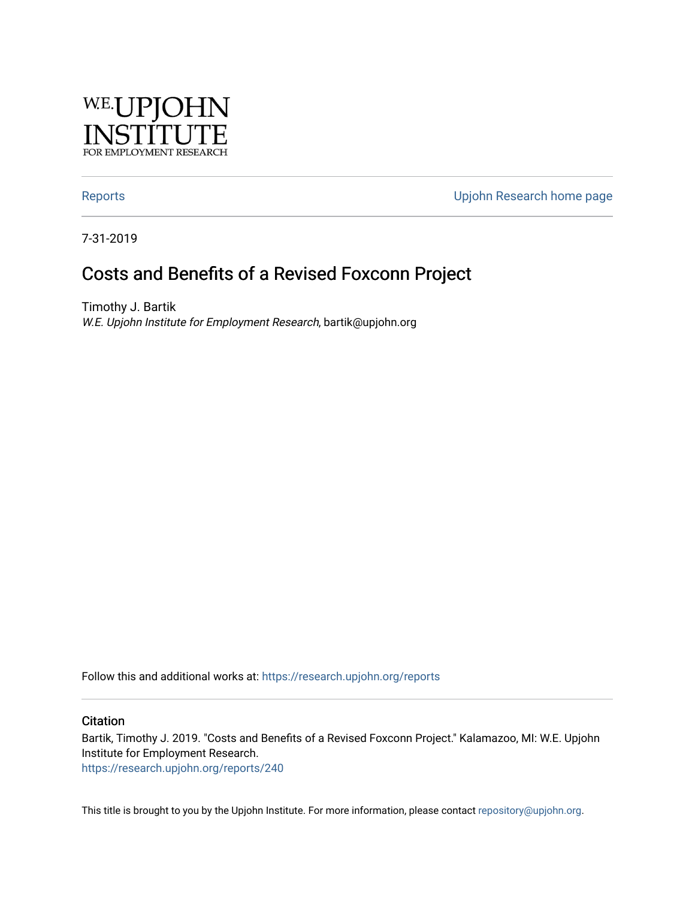

[Reports](https://research.upjohn.org/reports) **Example 20** Reports **CONFIDENTIAL RESEARCH HOME PAGE 2018** 

7-31-2019

# Costs and Benefits of a Revised Foxconn Project

Timothy J. Bartik W.E. Upjohn Institute for Employment Research, bartik@upjohn.org

Follow this and additional works at: [https://research.upjohn.org/reports](https://research.upjohn.org/reports?utm_source=research.upjohn.org%2Freports%2F240&utm_medium=PDF&utm_campaign=PDFCoverPages) 

#### **Citation**

Bartik, Timothy J. 2019. "Costs and Benefits of a Revised Foxconn Project." Kalamazoo, MI: W.E. Upjohn Institute for Employment Research. <https://research.upjohn.org/reports/240>

This title is brought to you by the Upjohn Institute. For more information, please contact [repository@upjohn.org](mailto:repository@upjohn.org).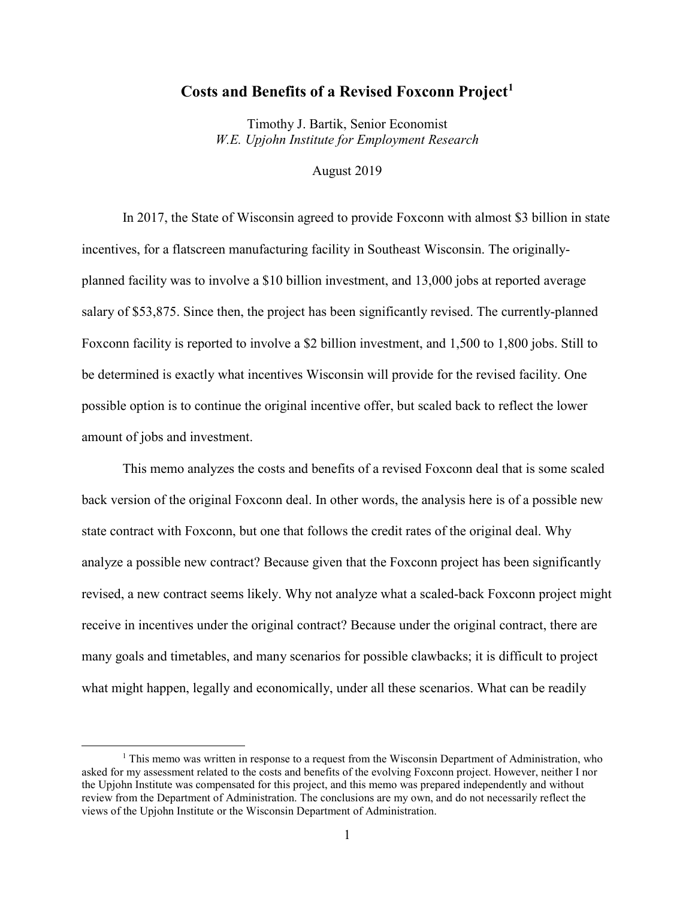### **Costs and Benefits of a Revised Foxconn Project[1](#page-1-0)**

Timothy J. Bartik, Senior Economist *W.E. Upjohn Institute for Employment Research*

August 2019

In 2017, the State of Wisconsin agreed to provide Foxconn with almost \$3 billion in state incentives, for a flatscreen manufacturing facility in Southeast Wisconsin. The originallyplanned facility was to involve a \$10 billion investment, and 13,000 jobs at reported average salary of \$53,875. Since then, the project has been significantly revised. The currently-planned Foxconn facility is reported to involve a \$2 billion investment, and 1,500 to 1,800 jobs. Still to be determined is exactly what incentives Wisconsin will provide for the revised facility. One possible option is to continue the original incentive offer, but scaled back to reflect the lower amount of jobs and investment.

This memo analyzes the costs and benefits of a revised Foxconn deal that is some scaled back version of the original Foxconn deal. In other words, the analysis here is of a possible new state contract with Foxconn, but one that follows the credit rates of the original deal. Why analyze a possible new contract? Because given that the Foxconn project has been significantly revised, a new contract seems likely. Why not analyze what a scaled-back Foxconn project might receive in incentives under the original contract? Because under the original contract, there are many goals and timetables, and many scenarios for possible clawbacks; it is difficult to project what might happen, legally and economically, under all these scenarios. What can be readily

<span id="page-1-0"></span><sup>&</sup>lt;sup>1</sup> This memo was written in response to a request from the Wisconsin Department of Administration, who asked for my assessment related to the costs and benefits of the evolving Foxconn project. However, neither I nor the Upjohn Institute was compensated for this project, and this memo was prepared independently and without review from the Department of Administration. The conclusions are my own, and do not necessarily reflect the views of the Upjohn Institute or the Wisconsin Department of Administration.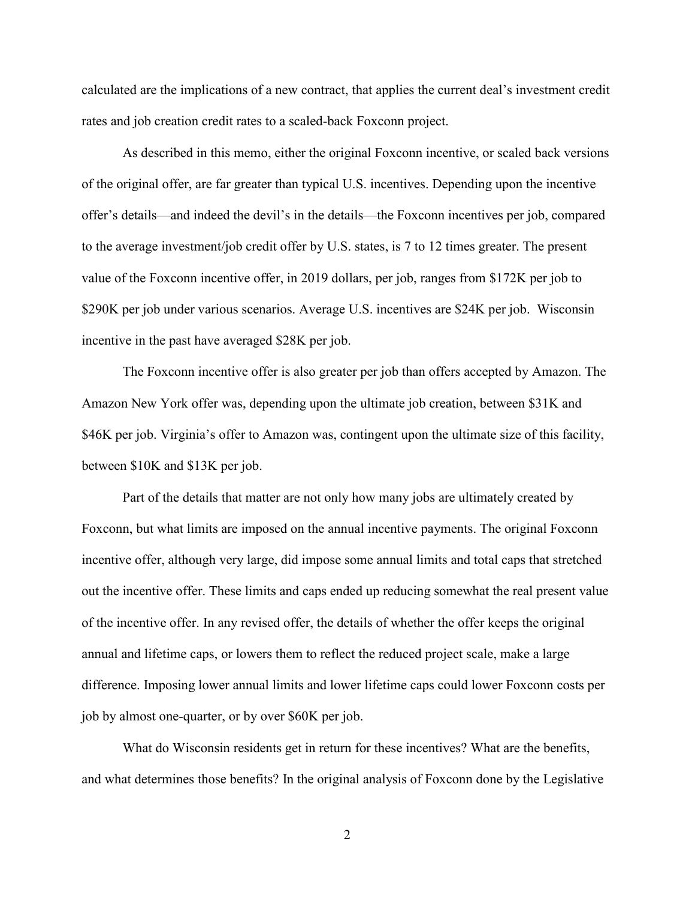calculated are the implications of a new contract, that applies the current deal's investment credit rates and job creation credit rates to a scaled-back Foxconn project.

As described in this memo, either the original Foxconn incentive, or scaled back versions of the original offer, are far greater than typical U.S. incentives. Depending upon the incentive offer's details—and indeed the devil's in the details—the Foxconn incentives per job, compared to the average investment/job credit offer by U.S. states, is 7 to 12 times greater. The present value of the Foxconn incentive offer, in 2019 dollars, per job, ranges from \$172K per job to \$290K per job under various scenarios. Average U.S. incentives are \$24K per job. Wisconsin incentive in the past have averaged \$28K per job.

The Foxconn incentive offer is also greater per job than offers accepted by Amazon. The Amazon New York offer was, depending upon the ultimate job creation, between \$31K and \$46K per job. Virginia's offer to Amazon was, contingent upon the ultimate size of this facility, between \$10K and \$13K per job.

Part of the details that matter are not only how many jobs are ultimately created by Foxconn, but what limits are imposed on the annual incentive payments. The original Foxconn incentive offer, although very large, did impose some annual limits and total caps that stretched out the incentive offer. These limits and caps ended up reducing somewhat the real present value of the incentive offer. In any revised offer, the details of whether the offer keeps the original annual and lifetime caps, or lowers them to reflect the reduced project scale, make a large difference. Imposing lower annual limits and lower lifetime caps could lower Foxconn costs per job by almost one-quarter, or by over \$60K per job.

What do Wisconsin residents get in return for these incentives? What are the benefits, and what determines those benefits? In the original analysis of Foxconn done by the Legislative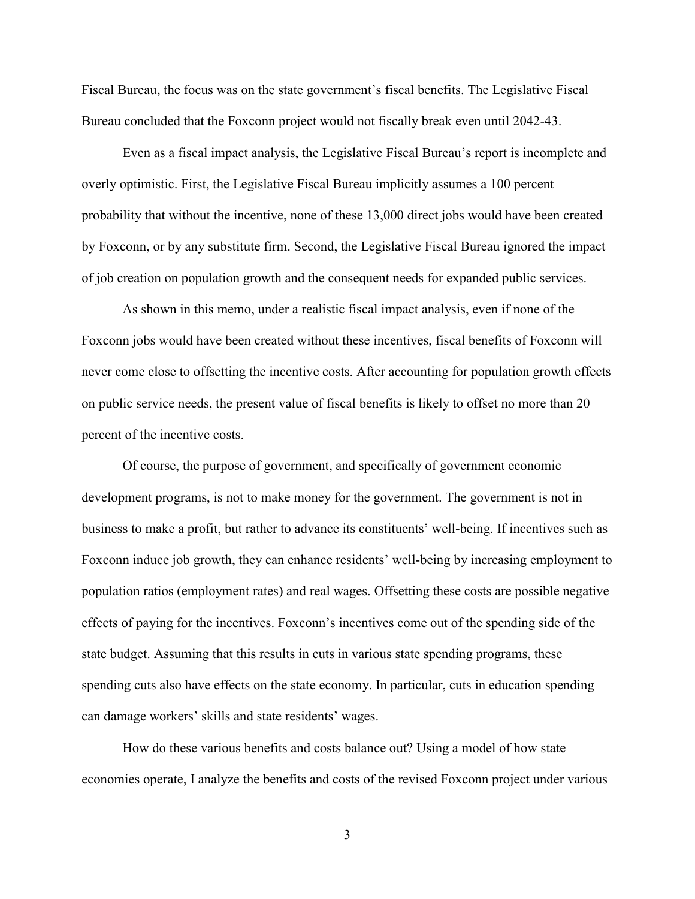Fiscal Bureau, the focus was on the state government's fiscal benefits. The Legislative Fiscal Bureau concluded that the Foxconn project would not fiscally break even until 2042-43.

Even as a fiscal impact analysis, the Legislative Fiscal Bureau's report is incomplete and overly optimistic. First, the Legislative Fiscal Bureau implicitly assumes a 100 percent probability that without the incentive, none of these 13,000 direct jobs would have been created by Foxconn, or by any substitute firm. Second, the Legislative Fiscal Bureau ignored the impact of job creation on population growth and the consequent needs for expanded public services.

As shown in this memo, under a realistic fiscal impact analysis, even if none of the Foxconn jobs would have been created without these incentives, fiscal benefits of Foxconn will never come close to offsetting the incentive costs. After accounting for population growth effects on public service needs, the present value of fiscal benefits is likely to offset no more than 20 percent of the incentive costs.

Of course, the purpose of government, and specifically of government economic development programs, is not to make money for the government. The government is not in business to make a profit, but rather to advance its constituents' well-being. If incentives such as Foxconn induce job growth, they can enhance residents' well-being by increasing employment to population ratios (employment rates) and real wages. Offsetting these costs are possible negative effects of paying for the incentives. Foxconn's incentives come out of the spending side of the state budget. Assuming that this results in cuts in various state spending programs, these spending cuts also have effects on the state economy. In particular, cuts in education spending can damage workers' skills and state residents' wages.

How do these various benefits and costs balance out? Using a model of how state economies operate, I analyze the benefits and costs of the revised Foxconn project under various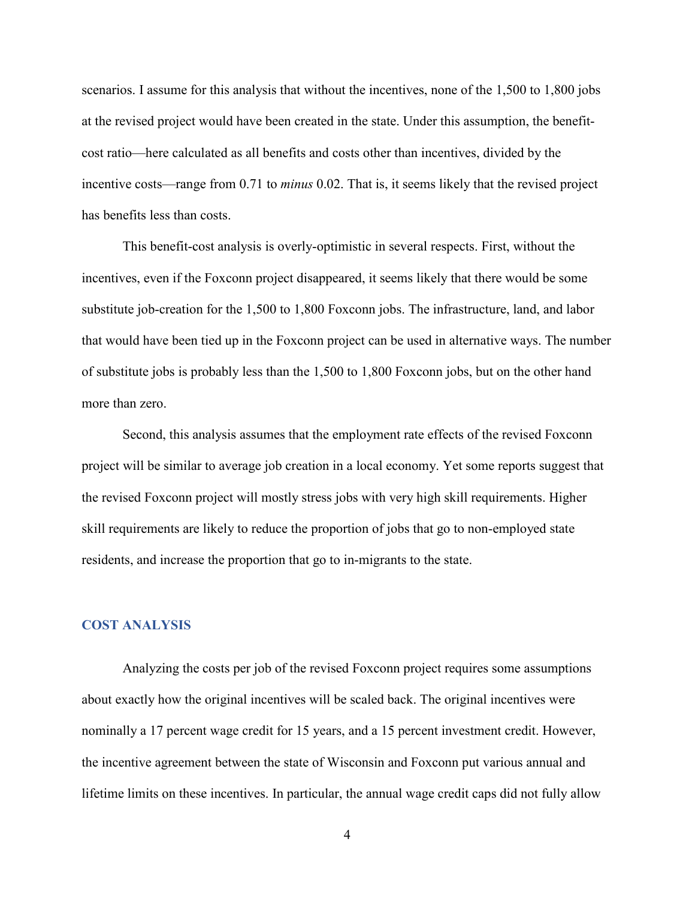scenarios. I assume for this analysis that without the incentives, none of the 1,500 to 1,800 jobs at the revised project would have been created in the state. Under this assumption, the benefitcost ratio—here calculated as all benefits and costs other than incentives, divided by the incentive costs—range from 0.71 to *minus* 0.02. That is, it seems likely that the revised project has benefits less than costs.

This benefit-cost analysis is overly-optimistic in several respects. First, without the incentives, even if the Foxconn project disappeared, it seems likely that there would be some substitute job-creation for the 1,500 to 1,800 Foxconn jobs. The infrastructure, land, and labor that would have been tied up in the Foxconn project can be used in alternative ways. The number of substitute jobs is probably less than the 1,500 to 1,800 Foxconn jobs, but on the other hand more than zero.

Second, this analysis assumes that the employment rate effects of the revised Foxconn project will be similar to average job creation in a local economy. Yet some reports suggest that the revised Foxconn project will mostly stress jobs with very high skill requirements. Higher skill requirements are likely to reduce the proportion of jobs that go to non-employed state residents, and increase the proportion that go to in-migrants to the state.

## **COST ANALYSIS**

Analyzing the costs per job of the revised Foxconn project requires some assumptions about exactly how the original incentives will be scaled back. The original incentives were nominally a 17 percent wage credit for 15 years, and a 15 percent investment credit. However, the incentive agreement between the state of Wisconsin and Foxconn put various annual and lifetime limits on these incentives. In particular, the annual wage credit caps did not fully allow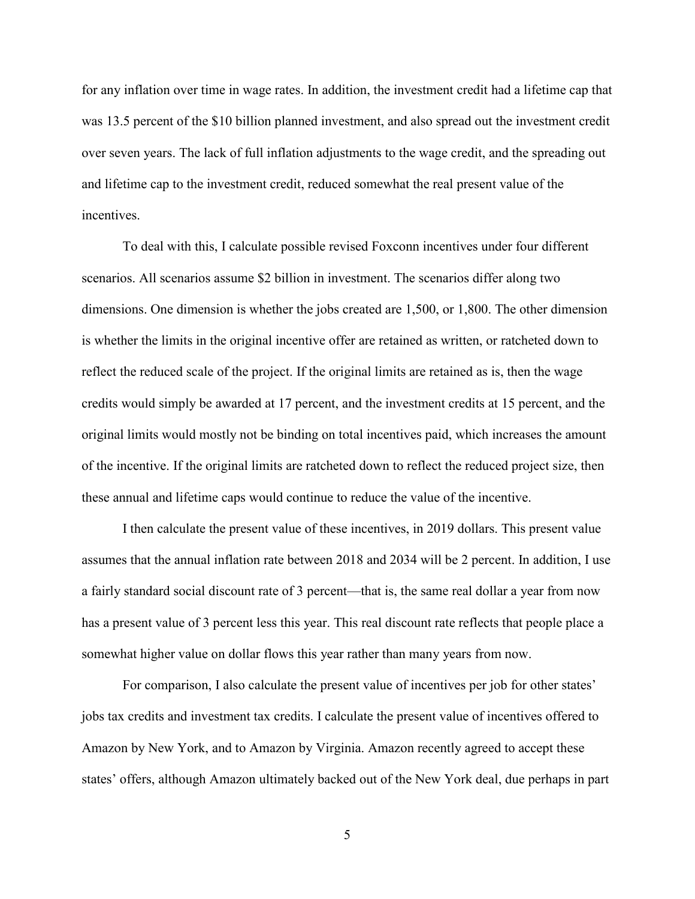for any inflation over time in wage rates. In addition, the investment credit had a lifetime cap that was 13.5 percent of the \$10 billion planned investment, and also spread out the investment credit over seven years. The lack of full inflation adjustments to the wage credit, and the spreading out and lifetime cap to the investment credit, reduced somewhat the real present value of the incentives.

To deal with this, I calculate possible revised Foxconn incentives under four different scenarios. All scenarios assume \$2 billion in investment. The scenarios differ along two dimensions. One dimension is whether the jobs created are 1,500, or 1,800. The other dimension is whether the limits in the original incentive offer are retained as written, or ratcheted down to reflect the reduced scale of the project. If the original limits are retained as is, then the wage credits would simply be awarded at 17 percent, and the investment credits at 15 percent, and the original limits would mostly not be binding on total incentives paid, which increases the amount of the incentive. If the original limits are ratcheted down to reflect the reduced project size, then these annual and lifetime caps would continue to reduce the value of the incentive.

I then calculate the present value of these incentives, in 2019 dollars. This present value assumes that the annual inflation rate between 2018 and 2034 will be 2 percent. In addition, I use a fairly standard social discount rate of 3 percent—that is, the same real dollar a year from now has a present value of 3 percent less this year. This real discount rate reflects that people place a somewhat higher value on dollar flows this year rather than many years from now.

For comparison, I also calculate the present value of incentives per job for other states' jobs tax credits and investment tax credits. I calculate the present value of incentives offered to Amazon by New York, and to Amazon by Virginia. Amazon recently agreed to accept these states' offers, although Amazon ultimately backed out of the New York deal, due perhaps in part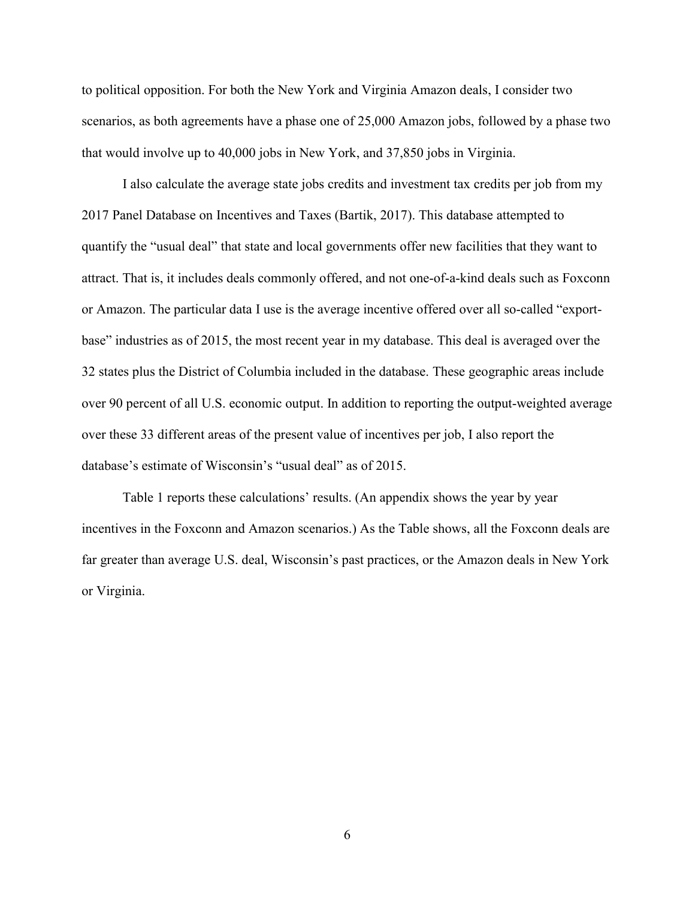to political opposition. For both the New York and Virginia Amazon deals, I consider two scenarios, as both agreements have a phase one of 25,000 Amazon jobs, followed by a phase two that would involve up to 40,000 jobs in New York, and 37,850 jobs in Virginia.

I also calculate the average state jobs credits and investment tax credits per job from my 2017 Panel Database on Incentives and Taxes (Bartik, 2017). This database attempted to quantify the "usual deal" that state and local governments offer new facilities that they want to attract. That is, it includes deals commonly offered, and not one-of-a-kind deals such as Foxconn or Amazon. The particular data I use is the average incentive offered over all so-called "exportbase" industries as of 2015, the most recent year in my database. This deal is averaged over the 32 states plus the District of Columbia included in the database. These geographic areas include over 90 percent of all U.S. economic output. In addition to reporting the output-weighted average over these 33 different areas of the present value of incentives per job, I also report the database's estimate of Wisconsin's "usual deal" as of 2015.

Table 1 reports these calculations' results. (An appendix shows the year by year incentives in the Foxconn and Amazon scenarios.) As the Table shows, all the Foxconn deals are far greater than average U.S. deal, Wisconsin's past practices, or the Amazon deals in New York or Virginia.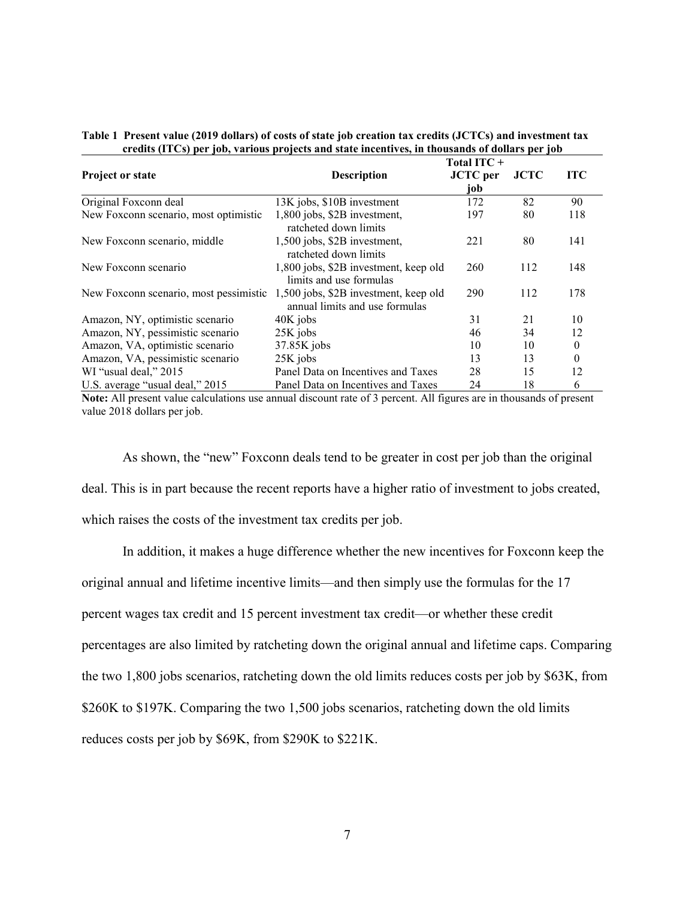|                                        | Total ITC+                                                              |                 |             |            |
|----------------------------------------|-------------------------------------------------------------------------|-----------------|-------------|------------|
| <b>Project or state</b>                | <b>Description</b>                                                      | <b>JCTC</b> per | <b>JCTC</b> | <b>ITC</b> |
|                                        |                                                                         | job             |             |            |
| Original Foxconn deal                  | 13K jobs, \$10B investment                                              | 172             | 82          | 90         |
| New Foxconn scenario, most optimistic  | 1,800 jobs, \$2B investment,<br>ratcheted down limits                   | 197             | 80          | 118        |
| New Foxconn scenario, middle           | 1,500 jobs, \$2B investment,<br>ratcheted down limits                   | 221             | 80          | 141        |
| New Foxconn scenario                   | 1,800 jobs, \$2B investment, keep old<br>limits and use formulas        | 260             | 112         | 148        |
| New Foxconn scenario, most pessimistic | 1,500 jobs, \$2B investment, keep old<br>annual limits and use formulas | 290             | 112         | 178        |
| Amazon, NY, optimistic scenario        | 40K jobs                                                                | 31              | 21          | 10         |
| Amazon, NY, pessimistic scenario       | 25K jobs                                                                | 46              | 34          | 12         |
| Amazon, VA, optimistic scenario        | $37.85K$ jobs                                                           | 10              | 10          | 0          |
| Amazon, VA, pessimistic scenario       | 25K jobs                                                                | 13              | 13          | 0          |
| WI "usual deal," 2015                  | Panel Data on Incentives and Taxes                                      | 28              | 15          | 12         |
| U.S. average "usual deal," 2015        | Panel Data on Incentives and Taxes                                      | 24              | 18          | 6          |

#### **Table 1 Present value (2019 dollars) of costs of state job creation tax credits (JCTCs) and investment tax credits (ITCs) per job, various projects and state incentives, in thousands of dollars per job**

**Note:** All present value calculations use annual discount rate of 3 percent. All figures are in thousands of present value 2018 dollars per job.

As shown, the "new" Foxconn deals tend to be greater in cost per job than the original deal. This is in part because the recent reports have a higher ratio of investment to jobs created, which raises the costs of the investment tax credits per job.

In addition, it makes a huge difference whether the new incentives for Foxconn keep the original annual and lifetime incentive limits—and then simply use the formulas for the 17 percent wages tax credit and 15 percent investment tax credit—or whether these credit percentages are also limited by ratcheting down the original annual and lifetime caps. Comparing the two 1,800 jobs scenarios, ratcheting down the old limits reduces costs per job by \$63K, from \$260K to \$197K. Comparing the two 1,500 jobs scenarios, ratcheting down the old limits reduces costs per job by \$69K, from \$290K to \$221K.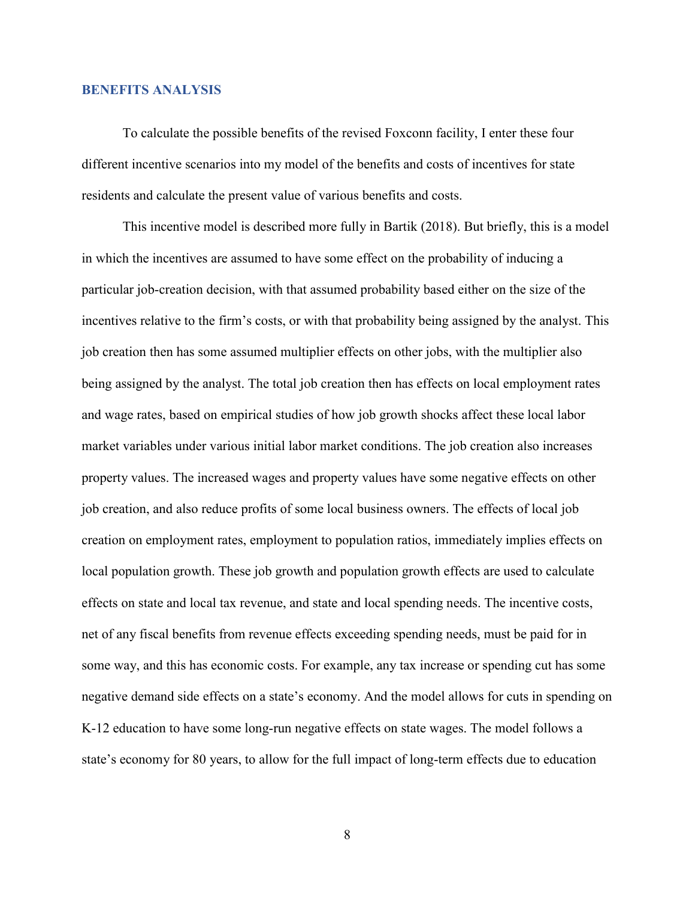#### **BENEFITS ANALYSIS**

To calculate the possible benefits of the revised Foxconn facility, I enter these four different incentive scenarios into my model of the benefits and costs of incentives for state residents and calculate the present value of various benefits and costs.

This incentive model is described more fully in Bartik (2018). But briefly, this is a model in which the incentives are assumed to have some effect on the probability of inducing a particular job-creation decision, with that assumed probability based either on the size of the incentives relative to the firm's costs, or with that probability being assigned by the analyst. This job creation then has some assumed multiplier effects on other jobs, with the multiplier also being assigned by the analyst. The total job creation then has effects on local employment rates and wage rates, based on empirical studies of how job growth shocks affect these local labor market variables under various initial labor market conditions. The job creation also increases property values. The increased wages and property values have some negative effects on other job creation, and also reduce profits of some local business owners. The effects of local job creation on employment rates, employment to population ratios, immediately implies effects on local population growth. These job growth and population growth effects are used to calculate effects on state and local tax revenue, and state and local spending needs. The incentive costs, net of any fiscal benefits from revenue effects exceeding spending needs, must be paid for in some way, and this has economic costs. For example, any tax increase or spending cut has some negative demand side effects on a state's economy. And the model allows for cuts in spending on K-12 education to have some long-run negative effects on state wages. The model follows a state's economy for 80 years, to allow for the full impact of long-term effects due to education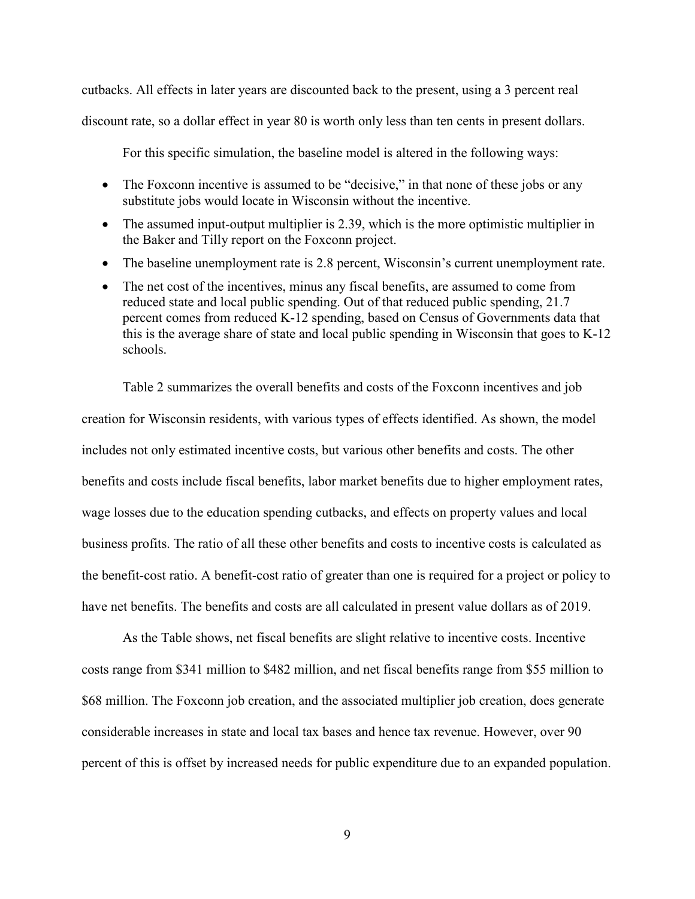cutbacks. All effects in later years are discounted back to the present, using a 3 percent real discount rate, so a dollar effect in year 80 is worth only less than ten cents in present dollars.

For this specific simulation, the baseline model is altered in the following ways:

- The Foxconn incentive is assumed to be "decisive," in that none of these jobs or any substitute jobs would locate in Wisconsin without the incentive.
- The assumed input-output multiplier is 2.39, which is the more optimistic multiplier in the Baker and Tilly report on the Foxconn project.
- The baseline unemployment rate is 2.8 percent, Wisconsin's current unemployment rate.
- The net cost of the incentives, minus any fiscal benefits, are assumed to come from reduced state and local public spending. Out of that reduced public spending, 21.7 percent comes from reduced K-12 spending, based on Census of Governments data that this is the average share of state and local public spending in Wisconsin that goes to K-12 schools.

Table 2 summarizes the overall benefits and costs of the Foxconn incentives and job creation for Wisconsin residents, with various types of effects identified. As shown, the model includes not only estimated incentive costs, but various other benefits and costs. The other benefits and costs include fiscal benefits, labor market benefits due to higher employment rates, wage losses due to the education spending cutbacks, and effects on property values and local business profits. The ratio of all these other benefits and costs to incentive costs is calculated as the benefit-cost ratio. A benefit-cost ratio of greater than one is required for a project or policy to have net benefits. The benefits and costs are all calculated in present value dollars as of 2019.

As the Table shows, net fiscal benefits are slight relative to incentive costs. Incentive costs range from \$341 million to \$482 million, and net fiscal benefits range from \$55 million to \$68 million. The Foxconn job creation, and the associated multiplier job creation, does generate considerable increases in state and local tax bases and hence tax revenue. However, over 90 percent of this is offset by increased needs for public expenditure due to an expanded population.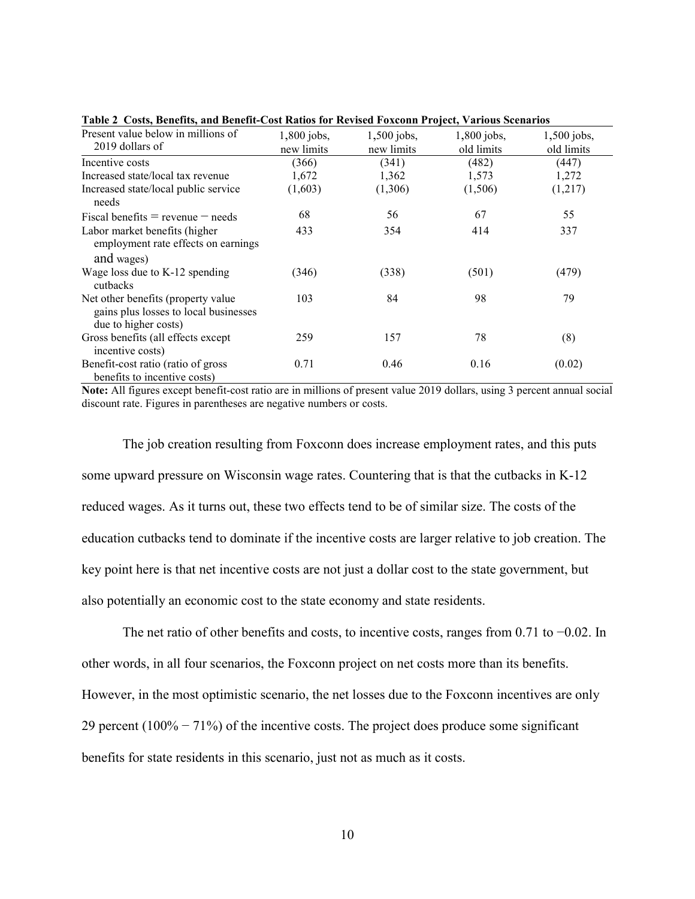| Present value below in millions of<br>2019 dollars of                                               | $1,800$ jobs,<br>new limits | $1,500$ jobs,<br>new limits | 1,800 jobs,<br>old limits | $1,500$ jobs,<br>old limits |
|-----------------------------------------------------------------------------------------------------|-----------------------------|-----------------------------|---------------------------|-----------------------------|
| Incentive costs                                                                                     | (366)                       | (341)                       | (482)                     | (447)                       |
| Increased state/local tax revenue                                                                   | 1,672                       | 1,362                       | 1,573                     | 1,272                       |
| Increased state/local public service<br>needs                                                       | (1,603)                     | (1,306)                     | (1,506)                   | (1,217)                     |
| Fiscal benefits $=$ revenue $-$ needs                                                               | 68                          | 56                          | 67                        | 55                          |
| Labor market benefits (higher<br>employment rate effects on earnings<br>and wages)                  | 433                         | 354                         | 414                       | 337                         |
| Wage loss due to K-12 spending<br>cutbacks                                                          | (346)                       | (338)                       | (501)                     | (479)                       |
| Net other benefits (property value<br>gains plus losses to local businesses<br>due to higher costs) | 103                         | 84                          | 98                        | 79                          |
| Gross benefits (all effects except<br>incentive costs)                                              | 259                         | 157                         | 78                        | (8)                         |
| Benefit-cost ratio (ratio of gross<br>benefits to incentive costs)                                  | 0.71                        | 0.46                        | 0.16                      | (0.02)                      |

**Table 2 Costs, Benefits, and Benefit-Cost Ratios for Revised Foxconn Project, Various Scenarios**

**Note:** All figures except benefit-cost ratio are in millions of present value 2019 dollars, using 3 percent annual social discount rate. Figures in parentheses are negative numbers or costs.

The job creation resulting from Foxconn does increase employment rates, and this puts some upward pressure on Wisconsin wage rates. Countering that is that the cutbacks in K-12 reduced wages. As it turns out, these two effects tend to be of similar size. The costs of the education cutbacks tend to dominate if the incentive costs are larger relative to job creation. The key point here is that net incentive costs are not just a dollar cost to the state government, but also potentially an economic cost to the state economy and state residents.

The net ratio of other benefits and costs, to incentive costs, ranges from 0.71 to −0.02. In other words, in all four scenarios, the Foxconn project on net costs more than its benefits. However, in the most optimistic scenario, the net losses due to the Foxconn incentives are only 29 percent (100% − 71%) of the incentive costs. The project does produce some significant benefits for state residents in this scenario, just not as much as it costs.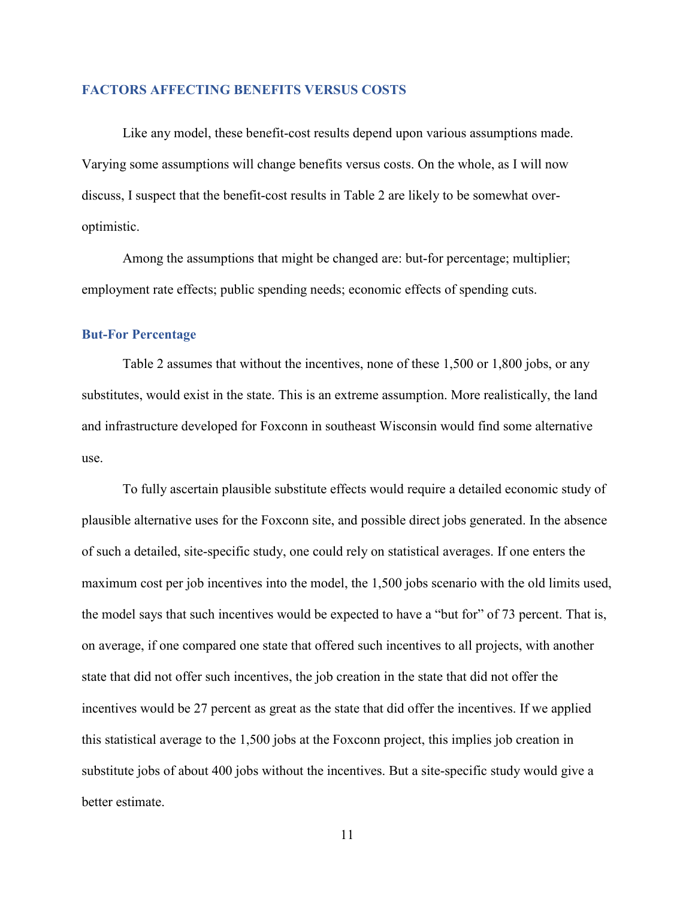#### **FACTORS AFFECTING BENEFITS VERSUS COSTS**

Like any model, these benefit-cost results depend upon various assumptions made. Varying some assumptions will change benefits versus costs. On the whole, as I will now discuss, I suspect that the benefit-cost results in Table 2 are likely to be somewhat overoptimistic.

Among the assumptions that might be changed are: but-for percentage; multiplier; employment rate effects; public spending needs; economic effects of spending cuts.

#### **But-For Percentage**

Table 2 assumes that without the incentives, none of these 1,500 or 1,800 jobs, or any substitutes, would exist in the state. This is an extreme assumption. More realistically, the land and infrastructure developed for Foxconn in southeast Wisconsin would find some alternative use.

To fully ascertain plausible substitute effects would require a detailed economic study of plausible alternative uses for the Foxconn site, and possible direct jobs generated. In the absence of such a detailed, site-specific study, one could rely on statistical averages. If one enters the maximum cost per job incentives into the model, the 1,500 jobs scenario with the old limits used, the model says that such incentives would be expected to have a "but for" of 73 percent. That is, on average, if one compared one state that offered such incentives to all projects, with another state that did not offer such incentives, the job creation in the state that did not offer the incentives would be 27 percent as great as the state that did offer the incentives. If we applied this statistical average to the 1,500 jobs at the Foxconn project, this implies job creation in substitute jobs of about 400 jobs without the incentives. But a site-specific study would give a better estimate.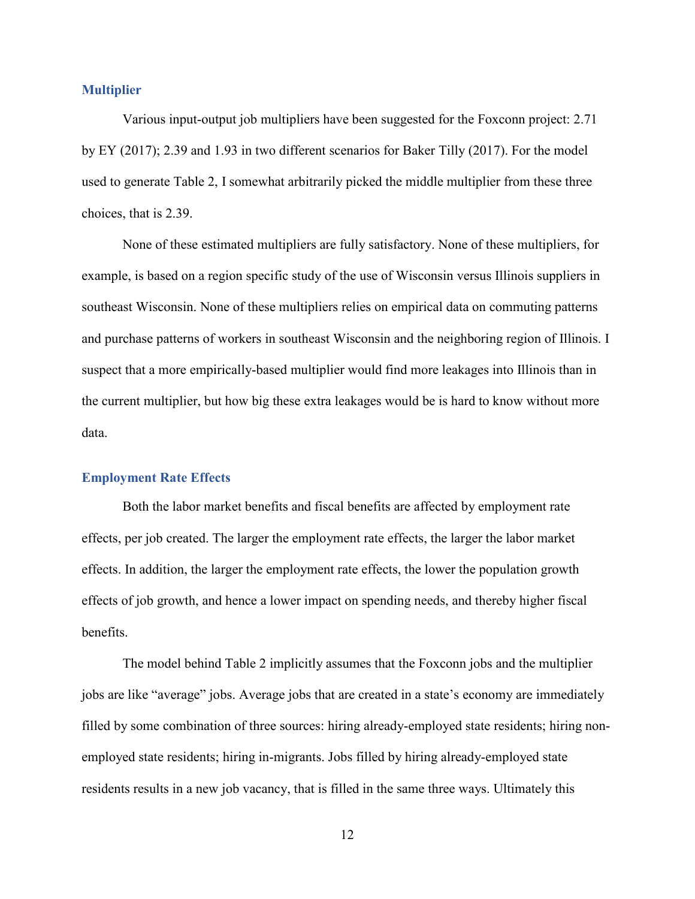#### **Multiplier**

Various input-output job multipliers have been suggested for the Foxconn project: 2.71 by EY (2017); 2.39 and 1.93 in two different scenarios for Baker Tilly (2017). For the model used to generate Table 2, I somewhat arbitrarily picked the middle multiplier from these three choices, that is 2.39.

None of these estimated multipliers are fully satisfactory. None of these multipliers, for example, is based on a region specific study of the use of Wisconsin versus Illinois suppliers in southeast Wisconsin. None of these multipliers relies on empirical data on commuting patterns and purchase patterns of workers in southeast Wisconsin and the neighboring region of Illinois. I suspect that a more empirically-based multiplier would find more leakages into Illinois than in the current multiplier, but how big these extra leakages would be is hard to know without more data.

#### **Employment Rate Effects**

Both the labor market benefits and fiscal benefits are affected by employment rate effects, per job created. The larger the employment rate effects, the larger the labor market effects. In addition, the larger the employment rate effects, the lower the population growth effects of job growth, and hence a lower impact on spending needs, and thereby higher fiscal benefits.

The model behind Table 2 implicitly assumes that the Foxconn jobs and the multiplier jobs are like "average" jobs. Average jobs that are created in a state's economy are immediately filled by some combination of three sources: hiring already-employed state residents; hiring nonemployed state residents; hiring in-migrants. Jobs filled by hiring already-employed state residents results in a new job vacancy, that is filled in the same three ways. Ultimately this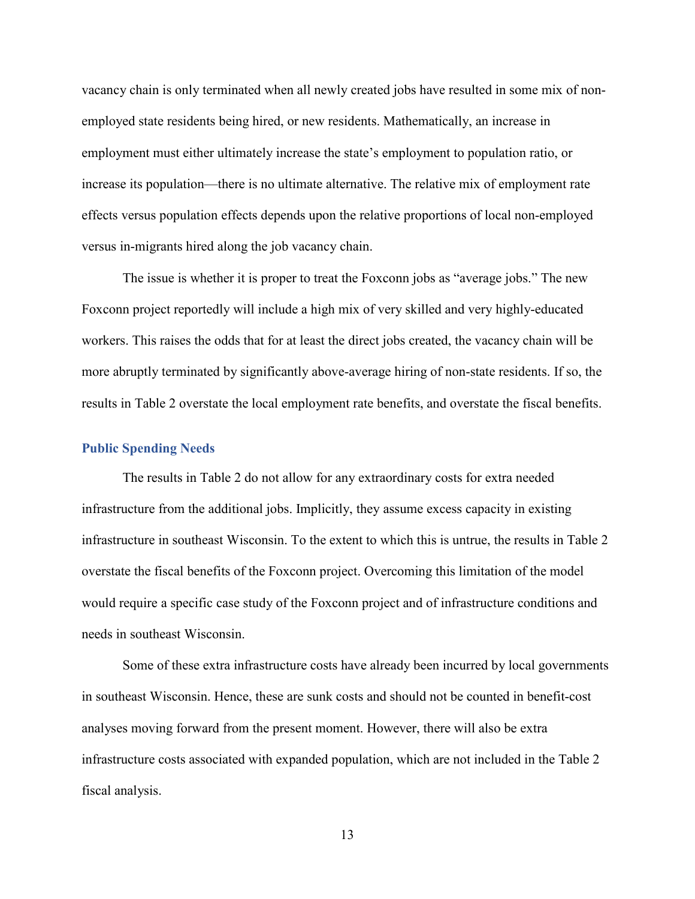vacancy chain is only terminated when all newly created jobs have resulted in some mix of nonemployed state residents being hired, or new residents. Mathematically, an increase in employment must either ultimately increase the state's employment to population ratio, or increase its population—there is no ultimate alternative. The relative mix of employment rate effects versus population effects depends upon the relative proportions of local non-employed versus in-migrants hired along the job vacancy chain.

The issue is whether it is proper to treat the Foxconn jobs as "average jobs." The new Foxconn project reportedly will include a high mix of very skilled and very highly-educated workers. This raises the odds that for at least the direct jobs created, the vacancy chain will be more abruptly terminated by significantly above-average hiring of non-state residents. If so, the results in Table 2 overstate the local employment rate benefits, and overstate the fiscal benefits.

#### **Public Spending Needs**

The results in Table 2 do not allow for any extraordinary costs for extra needed infrastructure from the additional jobs. Implicitly, they assume excess capacity in existing infrastructure in southeast Wisconsin. To the extent to which this is untrue, the results in Table 2 overstate the fiscal benefits of the Foxconn project. Overcoming this limitation of the model would require a specific case study of the Foxconn project and of infrastructure conditions and needs in southeast Wisconsin.

Some of these extra infrastructure costs have already been incurred by local governments in southeast Wisconsin. Hence, these are sunk costs and should not be counted in benefit-cost analyses moving forward from the present moment. However, there will also be extra infrastructure costs associated with expanded population, which are not included in the Table 2 fiscal analysis.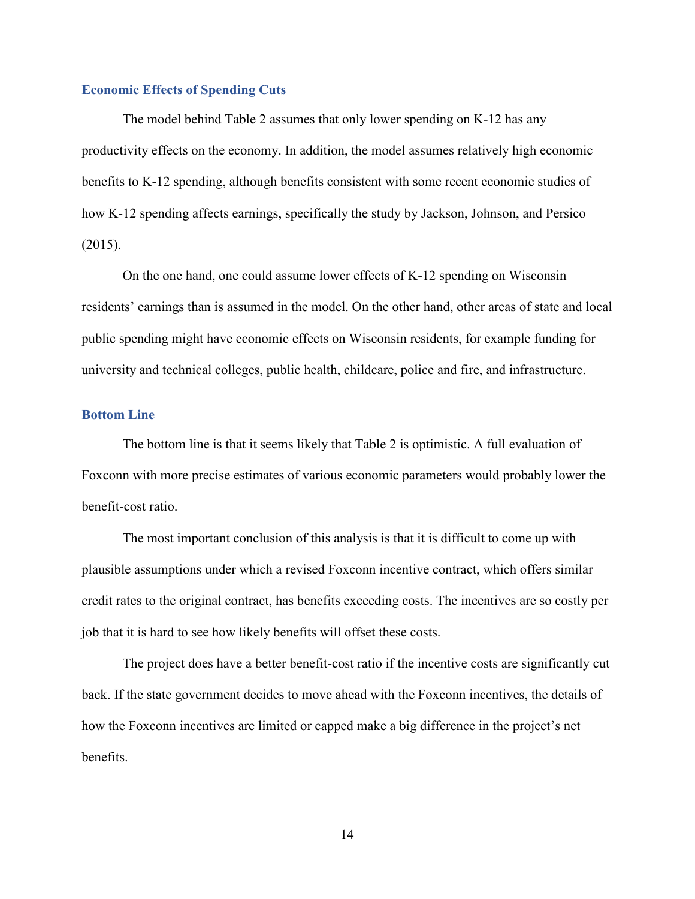### **Economic Effects of Spending Cuts**

The model behind Table 2 assumes that only lower spending on K-12 has any productivity effects on the economy. In addition, the model assumes relatively high economic benefits to K-12 spending, although benefits consistent with some recent economic studies of how K-12 spending affects earnings, specifically the study by Jackson, Johnson, and Persico (2015).

On the one hand, one could assume lower effects of K-12 spending on Wisconsin residents' earnings than is assumed in the model. On the other hand, other areas of state and local public spending might have economic effects on Wisconsin residents, for example funding for university and technical colleges, public health, childcare, police and fire, and infrastructure.

# **Bottom Line**

The bottom line is that it seems likely that Table 2 is optimistic. A full evaluation of Foxconn with more precise estimates of various economic parameters would probably lower the benefit-cost ratio.

The most important conclusion of this analysis is that it is difficult to come up with plausible assumptions under which a revised Foxconn incentive contract, which offers similar credit rates to the original contract, has benefits exceeding costs. The incentives are so costly per job that it is hard to see how likely benefits will offset these costs.

The project does have a better benefit-cost ratio if the incentive costs are significantly cut back. If the state government decides to move ahead with the Foxconn incentives, the details of how the Foxconn incentives are limited or capped make a big difference in the project's net benefits.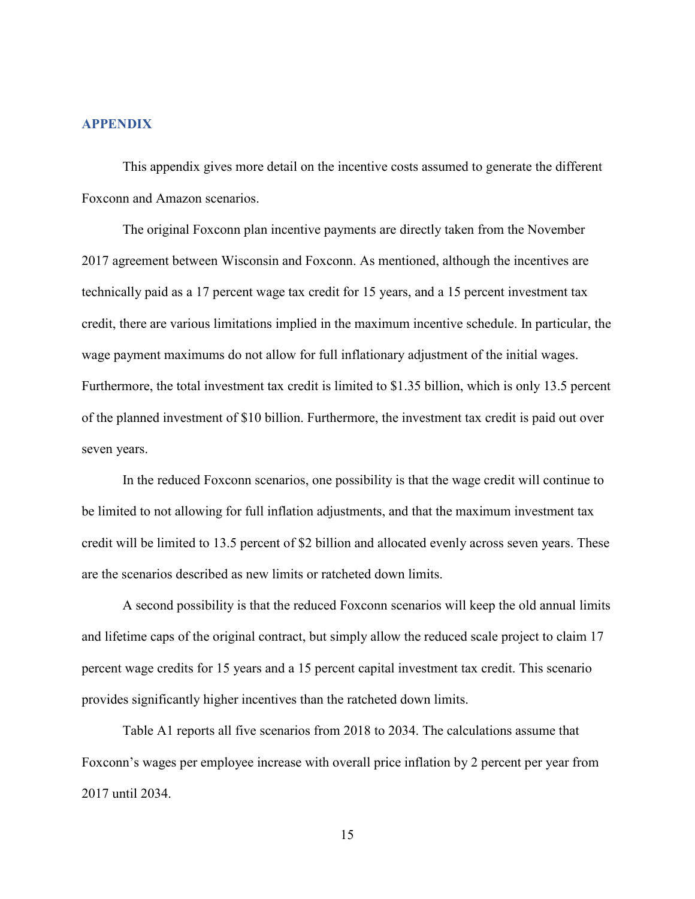#### **APPENDIX**

This appendix gives more detail on the incentive costs assumed to generate the different Foxconn and Amazon scenarios.

The original Foxconn plan incentive payments are directly taken from the November 2017 agreement between Wisconsin and Foxconn. As mentioned, although the incentives are technically paid as a 17 percent wage tax credit for 15 years, and a 15 percent investment tax credit, there are various limitations implied in the maximum incentive schedule. In particular, the wage payment maximums do not allow for full inflationary adjustment of the initial wages. Furthermore, the total investment tax credit is limited to \$1.35 billion, which is only 13.5 percent of the planned investment of \$10 billion. Furthermore, the investment tax credit is paid out over seven years.

In the reduced Foxconn scenarios, one possibility is that the wage credit will continue to be limited to not allowing for full inflation adjustments, and that the maximum investment tax credit will be limited to 13.5 percent of \$2 billion and allocated evenly across seven years. These are the scenarios described as new limits or ratcheted down limits.

A second possibility is that the reduced Foxconn scenarios will keep the old annual limits and lifetime caps of the original contract, but simply allow the reduced scale project to claim 17 percent wage credits for 15 years and a 15 percent capital investment tax credit. This scenario provides significantly higher incentives than the ratcheted down limits.

Table A1 reports all five scenarios from 2018 to 2034. The calculations assume that Foxconn's wages per employee increase with overall price inflation by 2 percent per year from 2017 until 2034.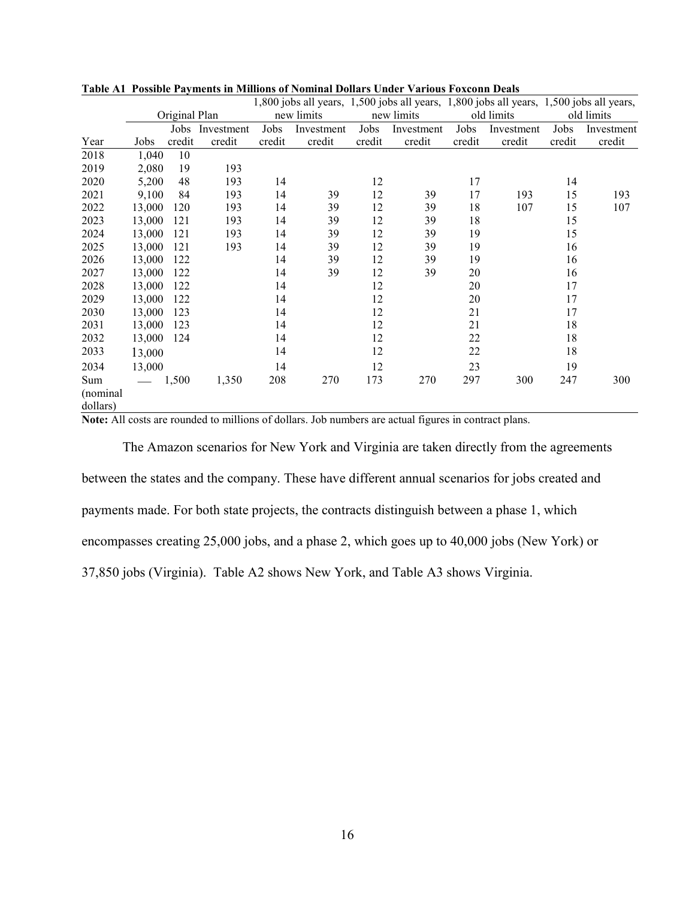|                 |        |               |                 |        | 1,800 jobs all years, 1,500 jobs all years, 1,800 jobs all years, 1,500 jobs all years, |        |            |        |            |        |            |
|-----------------|--------|---------------|-----------------|--------|-----------------------------------------------------------------------------------------|--------|------------|--------|------------|--------|------------|
|                 |        | Original Plan |                 |        | new limits                                                                              |        | new limits |        | old limits |        | old limits |
|                 |        |               | Jobs Investment | Jobs   | Investment                                                                              | Jobs   | Investment | Jobs   | Investment | Jobs   | Investment |
| Year            | Jobs   | credit        | credit          | credit | credit                                                                                  | credit | credit     | credit | credit     | credit | credit     |
| 2018            | 1,040  | 10            |                 |        |                                                                                         |        |            |        |            |        |            |
| 2019            | 2,080  | 19            | 193             |        |                                                                                         |        |            |        |            |        |            |
| 2020            | 5,200  | 48            | 193             | 14     |                                                                                         | 12     |            | 17     |            | 14     |            |
| 2021            | 9,100  | 84            | 193             | 14     | 39                                                                                      | 12     | 39         | 17     | 193        | 15     | 193        |
| 2022            | 13,000 | 120           | 193             | 14     | 39                                                                                      | 12     | 39         | 18     | 107        | 15     | 107        |
| 2023            | 13,000 | 121           | 193             | 14     | 39                                                                                      | 12     | 39         | 18     |            | 15     |            |
| 2024            | 13,000 | 121           | 193             | 14     | 39                                                                                      | 12     | 39         | 19     |            | 15     |            |
| 2025            | 13,000 | 121           | 193             | 14     | 39                                                                                      | 12     | 39         | 19     |            | 16     |            |
| 2026            | 13,000 | 122           |                 | 14     | 39                                                                                      | 12     | 39         | 19     |            | 16     |            |
| 2027            | 13,000 | 122           |                 | 14     | 39                                                                                      | 12     | 39         | 20     |            | 16     |            |
| 2028            | 13,000 | 122           |                 | 14     |                                                                                         | 12     |            | 20     |            | 17     |            |
| 2029            | 13,000 | 122           |                 | 14     |                                                                                         | 12     |            | 20     |            | 17     |            |
| 2030            | 13,000 | 123           |                 | 14     |                                                                                         | 12     |            | 21     |            | 17     |            |
| 2031            | 13,000 | 123           |                 | 14     |                                                                                         | 12     |            | 21     |            | 18     |            |
| 2032            | 13,000 | 124           |                 | 14     |                                                                                         | 12     |            | 22     |            | 18     |            |
| 2033            | 13,000 |               |                 | 14     |                                                                                         | 12     |            | 22     |            | 18     |            |
| 2034            | 13,000 |               |                 | 14     |                                                                                         | 12     |            | 23     |            | 19     |            |
| Sum<br>(nominal |        | 1,500         | 1,350           | 208    | 270                                                                                     | 173    | 270        | 297    | 300        | 247    | 300        |
| dollars)        |        |               |                 |        |                                                                                         |        |            |        |            |        |            |

|  |  | Table A1 Possible Payments in Millions of Nominal Dollars Under Various Foxconn Deals |  |  |  |  |  |  |  |
|--|--|---------------------------------------------------------------------------------------|--|--|--|--|--|--|--|
|--|--|---------------------------------------------------------------------------------------|--|--|--|--|--|--|--|

**Note:** All costs are rounded to millions of dollars. Job numbers are actual figures in contract plans.

The Amazon scenarios for New York and Virginia are taken directly from the agreements between the states and the company. These have different annual scenarios for jobs created and payments made. For both state projects, the contracts distinguish between a phase 1, which encompasses creating 25,000 jobs, and a phase 2, which goes up to 40,000 jobs (New York) or 37,850 jobs (Virginia). Table A2 shows New York, and Table A3 shows Virginia.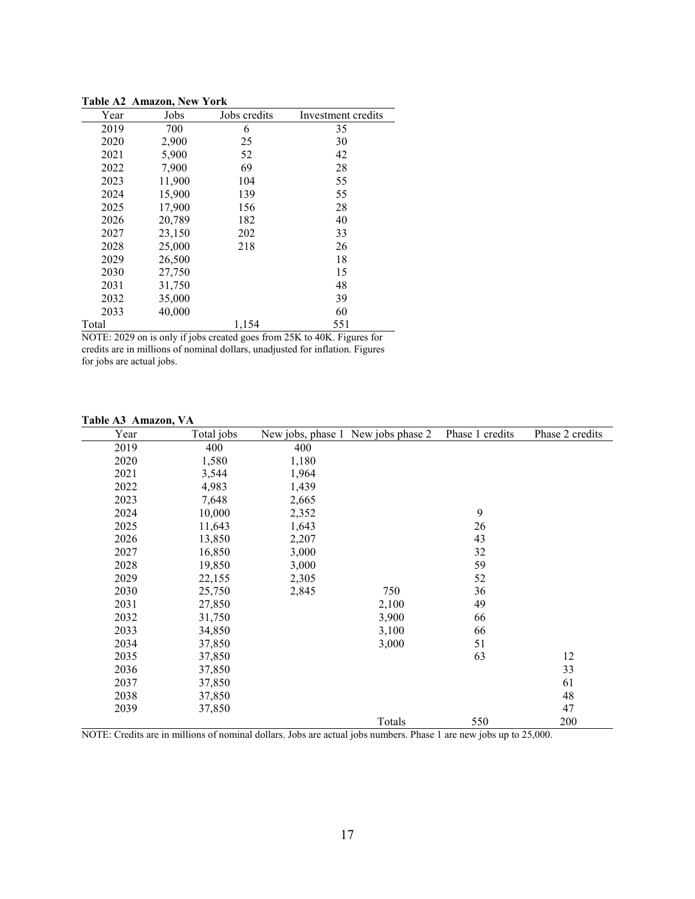|       | TADIE AZ AMAZON, INEW YOFK |              |                    |
|-------|----------------------------|--------------|--------------------|
| Year  | Jobs                       | Jobs credits | Investment credits |
| 2019  | 700                        | 6            | 35                 |
| 2020  | 2,900                      | 25           | 30                 |
| 2021  | 5,900                      | 52           | 42                 |
| 2022  | 7,900                      | 69           | 28                 |
| 2023  | 11,900                     | 104          | 55                 |
| 2024  | 15,900                     | 139          | 55                 |
| 2025  | 17,900                     | 156          | 28                 |
| 2026  | 20,789                     | 182          | 40                 |
| 2027  | 23,150                     | 202          | 33                 |
| 2028  | 25,000                     | 218          | 26                 |
| 2029  | 26,500                     |              | 18                 |
| 2030  | 27,750                     |              | 15                 |
| 2031  | 31,750                     |              | 48                 |
| 2032  | 35,000                     |              | 39                 |
| 2033  | 40,000                     |              | 60                 |
| Total |                            | 1,154        | 551                |

**Table A2 Amazon, New York**

NOTE: 2029 on is only if jobs created goes from 25K to 40K. Figures for credits are in millions of nominal dollars, unadjusted for inflation. Figures for jobs are actual jobs.

#### **Table A3 Amazon, VA**

| Year | Total jobs |       | New jobs, phase 1 New jobs phase 2 | Phase 1 credits | Phase 2 credits |
|------|------------|-------|------------------------------------|-----------------|-----------------|
| 2019 | 400        | 400   |                                    |                 |                 |
| 2020 | 1,580      | 1,180 |                                    |                 |                 |
| 2021 | 3,544      | 1,964 |                                    |                 |                 |
| 2022 | 4,983      | 1,439 |                                    |                 |                 |
| 2023 | 7,648      | 2,665 |                                    |                 |                 |
| 2024 | 10,000     | 2,352 |                                    | 9               |                 |
| 2025 | 11,643     | 1,643 |                                    | 26              |                 |
| 2026 | 13,850     | 2,207 |                                    | 43              |                 |
| 2027 | 16,850     | 3,000 |                                    | 32              |                 |
| 2028 | 19,850     | 3,000 |                                    | 59              |                 |
| 2029 | 22,155     | 2,305 |                                    | 52              |                 |
| 2030 | 25,750     | 2,845 | 750                                | 36              |                 |
| 2031 | 27,850     |       | 2,100                              | 49              |                 |
| 2032 | 31,750     |       | 3,900                              | 66              |                 |
| 2033 | 34,850     |       | 3,100                              | 66              |                 |
| 2034 | 37,850     |       | 3,000                              | 51              |                 |
| 2035 | 37,850     |       |                                    | 63              | 12              |
| 2036 | 37,850     |       |                                    |                 | 33              |
| 2037 | 37,850     |       |                                    |                 | 61              |
| 2038 | 37,850     |       |                                    |                 | 48              |
| 2039 | 37,850     |       |                                    |                 | 47              |
|      |            |       | Totals                             | 550             | 200             |

NOTE: Credits are in millions of nominal dollars. Jobs are actual jobs numbers. Phase 1 are new jobs up to 25,000.